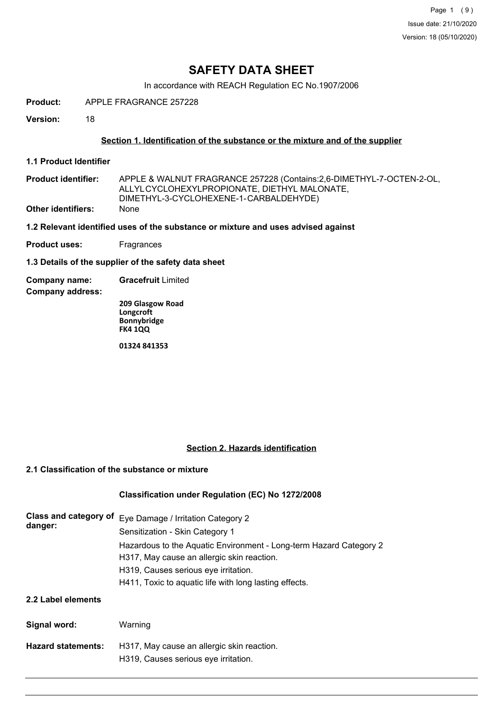Page 1 (9) Issue date: 21/10/2020 Version: 18 (05/10/2020)

## **SAFETY DATA SHEET**

In accordance with REACH Regulation EC No.1907/2006

**Product:** APPLE FRAGRANCE 257228

**Version:** 18

### **Section 1. Identification of the substance or the mixture and of the supplier**

**1.1 Product Identifier**

**Product identifier: Other identifiers:** None APPLE & WALNUT FRAGRANCE 257228 (Contains:2,6-DIMETHYL-7-OCTEN-2-OL, ALLYLCYCLOHEXYLPROPIONATE, DIETHYL MALONATE, DIMETHYL-3-CYCLOHEXENE-1-CARBALDEHYDE)

**1.2 Relevant identified uses of the substance or mixture and uses advised against**

**Product uses:** Fragrances

**1.3 Details of the supplier of the safety data sheet**

**Company name: Gracefruit** Limited

**Company address:**

**209 Glasgow Road Longcroft Bonnybridge FK4 1QQ**

**01324 841353**

### **Section 2. Hazards identification**

### **2.1 Classification of the substance or mixture**

### **Classification under Regulation (EC) No 1272/2008**

| Class and category of<br>danger: | Eye Damage / Irritation Category 2<br>Sensitization - Skin Category 1                                            |  |  |
|----------------------------------|------------------------------------------------------------------------------------------------------------------|--|--|
|                                  | Hazardous to the Aquatic Environment - Long-term Hazard Category 2<br>H317, May cause an allergic skin reaction. |  |  |
|                                  | H319, Causes serious eye irritation.                                                                             |  |  |
|                                  | H411, Toxic to aquatic life with long lasting effects.                                                           |  |  |
| 2.2 Label elements               |                                                                                                                  |  |  |
| Signal word:                     | Warning                                                                                                          |  |  |
| <b>Hazard statements:</b>        | H317, May cause an allergic skin reaction.                                                                       |  |  |
|                                  | H319, Causes serious eye irritation.                                                                             |  |  |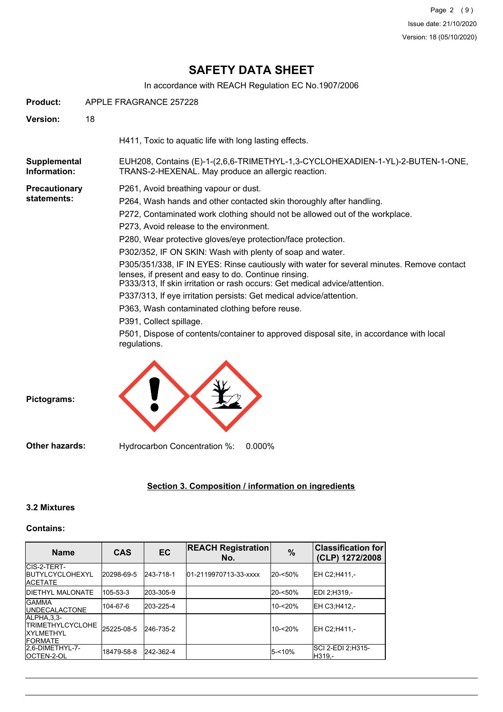# **SAFETY DATA SHEET**

In accordance with REACH Regulation EC No.1907/2006

| <b>Product:</b>              | APPLE FRAGRANCE 257228 |                                                                                                                                                                                                                                                                                                                                                                                                                                                                                                                                                                                                                                                                                                                                                                                                                                                                         |
|------------------------------|------------------------|-------------------------------------------------------------------------------------------------------------------------------------------------------------------------------------------------------------------------------------------------------------------------------------------------------------------------------------------------------------------------------------------------------------------------------------------------------------------------------------------------------------------------------------------------------------------------------------------------------------------------------------------------------------------------------------------------------------------------------------------------------------------------------------------------------------------------------------------------------------------------|
| Version:                     | 18                     |                                                                                                                                                                                                                                                                                                                                                                                                                                                                                                                                                                                                                                                                                                                                                                                                                                                                         |
|                              |                        | H411, Toxic to aquatic life with long lasting effects.                                                                                                                                                                                                                                                                                                                                                                                                                                                                                                                                                                                                                                                                                                                                                                                                                  |
| Supplemental<br>Information: |                        | EUH208, Contains (E)-1-(2,6,6-TRIMETHYL-1,3-CYCLOHEXADIEN-1-YL)-2-BUTEN-1-ONE,<br>TRANS-2-HEXENAL. May produce an allergic reaction.                                                                                                                                                                                                                                                                                                                                                                                                                                                                                                                                                                                                                                                                                                                                    |
| Precautionary<br>statements: |                        | P261, Avoid breathing vapour or dust.<br>P264, Wash hands and other contacted skin thoroughly after handling.<br>P272, Contaminated work clothing should not be allowed out of the workplace.<br>P273, Avoid release to the environment.<br>P280, Wear protective gloves/eye protection/face protection.<br>P302/352, IF ON SKIN: Wash with plenty of soap and water.<br>P305/351/338, IF IN EYES: Rinse cautiously with water for several minutes. Remove contact<br>lenses, if present and easy to do. Continue rinsing.<br>P333/313, If skin irritation or rash occurs: Get medical advice/attention.<br>P337/313, If eye irritation persists: Get medical advice/attention.<br>P363, Wash contaminated clothing before reuse.<br>P391, Collect spillage.<br>P501, Dispose of contents/container to approved disposal site, in accordance with local<br>regulations. |



## **Section 3. Composition / information on ingredients**

### **3.2 Mixtures**

### **Contains:**

| <b>Name</b>                                                               | <b>CAS</b> | <b>EC</b> | <b>REACH Registration</b><br>No. | $\%$       | <b>Classification for</b><br>(CLP) 1272/2008 |
|---------------------------------------------------------------------------|------------|-----------|----------------------------------|------------|----------------------------------------------|
| CIS-2-TERT-<br><b>IBUTYLCYCLOHEXYL</b><br><b>IACETATE</b>                 | 20298-69-5 | 243-718-1 | 01-2119970713-33-xxxx            | $20 - 50%$ | IEH C2:H411 -                                |
| <b>IDIETHYL MALONATE</b>                                                  | 105-53-3   | 203-305-9 |                                  | $20 - 50%$ | IEDI 2:H319.-                                |
| <b>IGAMMA</b><br><b>IUNDECALACTONE</b>                                    | 104-67-6   | 203-225-4 |                                  | $10 - 20%$ | EH C3:H412.-                                 |
| IALPHA.3.3-<br><b>ITRIMETHYLCYCLOHE</b><br>IXYI MFTHYI<br><b>IFORMATE</b> | 25225-08-5 | 246-735-2 |                                  | 10-<20%    | IEH C2:H411.-                                |
| 2.6-DIMETHYL-7-<br><b>IOCTEN-2-OL</b>                                     | 18479-58-8 | 242-362-4 |                                  | $15 - 10%$ | ISCI 2-EDI 2:H315-<br>IH319.-                |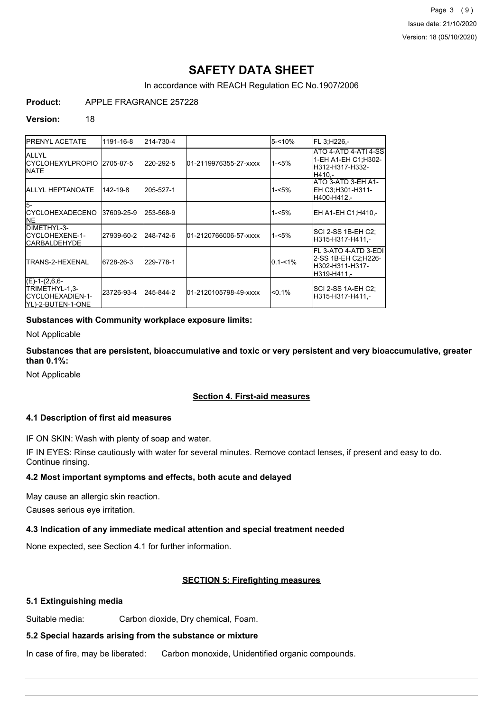# **SAFETY DATA SHEET**

In accordance with REACH Regulation EC No.1907/2006

**Product:** APPLE FRAGRANCE 257228

### **Version:** 18

| <b>IPRENYL ACETATE</b>                                                       | 1191-16-8  | 214-730-4 |                       | 5-<10%      | FL 3, H226 -                                                                    |
|------------------------------------------------------------------------------|------------|-----------|-----------------------|-------------|---------------------------------------------------------------------------------|
| <b>JALLYL</b><br><b>ICYCLOHEXYLPROPIO</b><br><b>INATE</b>                    | 2705-87-5  | 220-292-5 | 01-2119976355-27-xxxx | $1 - 5%$    | ATO 4-ATD 4-ATI 4-SS<br>1-EH A1-EH C1:H302-<br>lH312-H317-H332-<br>H410 -       |
| <b>JALLYL HEPTANOATE</b>                                                     | 142-19-8   | 205-527-1 |                       | $1 - 5%$    | ATO 3-ATD 3-EH A1-<br>EH C3:H301-H311-<br>H400-H412,-                           |
| l5-<br>ICYCLOHEXADECENO<br><b>INE</b>                                        | 37609-25-9 | 253-568-9 |                       | $1 - 5%$    | EH A1-EH C1:H410.-                                                              |
| DIMETHYL-3-<br>ICYCLOHEXENE-1-<br><b>ICARBALDEHYDE</b>                       | 27939-60-2 | 248-742-6 | 01-2120766006-57-xxxx | $1 - 5%$    | ISCI 2-SS 1B-EH C2:<br>H315-H317-H411.-                                         |
| TRANS-2-HEXENAL                                                              | 6728-26-3  | 229-778-1 |                       | $0.1 - 1\%$ | FL 3-ATO 4-ATD 3-EDI<br>2-SS 1B-EH C2:H226-<br>lH302-H311-H317-<br>lH319-H411.- |
| $(E)-1-(2,6,6-$<br>TRIMETHYL-1,3-<br>ICYCLOHEXADIEN-1-<br>IYL)-2-BUTEN-1-ONE | 23726-93-4 | 245-844-2 | 01-2120105798-49-xxxx | $< 0.1\%$   | SCI 2-SS 1A-EH C2;<br>lH315-H317-H411.-                                         |

### **Substances with Community workplace exposure limits:**

Not Applicable

**Substances that are persistent, bioaccumulative and toxic or very persistent and very bioaccumulative, greater than 0.1%:**

Not Applicable

### **Section 4. First-aid measures**

### **4.1 Description of first aid measures**

IF ON SKIN: Wash with plenty of soap and water.

IF IN EYES: Rinse cautiously with water for several minutes. Remove contact lenses, if present and easy to do. Continue rinsing.

### **4.2 Most important symptoms and effects, both acute and delayed**

May cause an allergic skin reaction.

Causes serious eye irritation.

### **4.3 Indication of any immediate medical attention and special treatment needed**

None expected, see Section 4.1 for further information.

### **SECTION 5: Firefighting measures**

### **5.1 Extinguishing media**

Suitable media: Carbon dioxide, Dry chemical, Foam.

### **5.2 Special hazards arising from the substance or mixture**

In case of fire, may be liberated: Carbon monoxide, Unidentified organic compounds.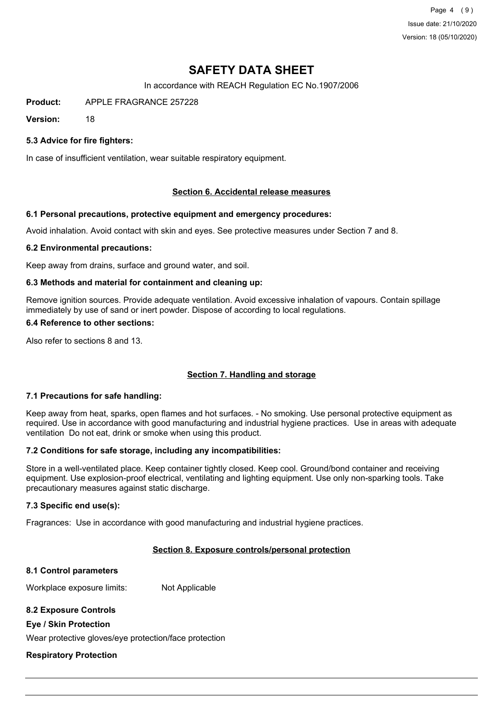Page 4 (9) Issue date: 21/10/2020 Version: 18 (05/10/2020)

# **SAFETY DATA SHEET**

In accordance with REACH Regulation EC No.1907/2006

**Product:** APPLE FRAGRANCE 257228

**Version:** 18

### **5.3 Advice for fire fighters:**

In case of insufficient ventilation, wear suitable respiratory equipment.

### **Section 6. Accidental release measures**

### **6.1 Personal precautions, protective equipment and emergency procedures:**

Avoid inhalation. Avoid contact with skin and eyes. See protective measures under Section 7 and 8.

### **6.2 Environmental precautions:**

Keep away from drains, surface and ground water, and soil.

### **6.3 Methods and material for containment and cleaning up:**

Remove ignition sources. Provide adequate ventilation. Avoid excessive inhalation of vapours. Contain spillage immediately by use of sand or inert powder. Dispose of according to local regulations.

### **6.4 Reference to other sections:**

Also refer to sections 8 and 13.

### **Section 7. Handling and storage**

### **7.1 Precautions for safe handling:**

Keep away from heat, sparks, open flames and hot surfaces. - No smoking. Use personal protective equipment as required. Use in accordance with good manufacturing and industrial hygiene practices. Use in areas with adequate ventilation Do not eat, drink or smoke when using this product.

### **7.2 Conditions for safe storage, including any incompatibilities:**

Store in a well-ventilated place. Keep container tightly closed. Keep cool. Ground/bond container and receiving equipment. Use explosion-proof electrical, ventilating and lighting equipment. Use only non-sparking tools. Take precautionary measures against static discharge.

### **7.3 Specific end use(s):**

Fragrances: Use in accordance with good manufacturing and industrial hygiene practices.

### **Section 8. Exposure controls/personal protection**

#### **8.1 Control parameters**

Workplace exposure limits: Not Applicable

### **8.2 Exposure Controls**

### **Eye / Skin Protection**

Wear protective gloves/eye protection/face protection

### **Respiratory Protection**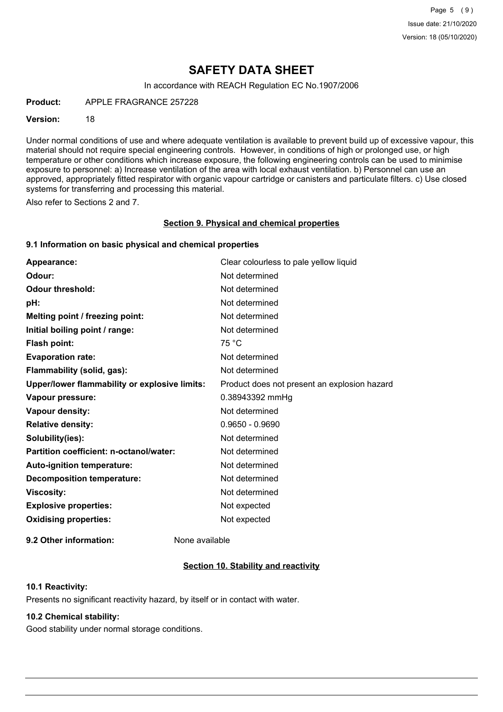## **SAFETY DATA SHEET**

In accordance with REACH Regulation EC No.1907/2006

**Product:** APPLE FRAGRANCE 257228

#### **Version:** 18

Under normal conditions of use and where adequate ventilation is available to prevent build up of excessive vapour, this material should not require special engineering controls. However, in conditions of high or prolonged use, or high temperature or other conditions which increase exposure, the following engineering controls can be used to minimise exposure to personnel: a) Increase ventilation of the area with local exhaust ventilation. b) Personnel can use an approved, appropriately fitted respirator with organic vapour cartridge or canisters and particulate filters. c) Use closed systems for transferring and processing this material.

Also refer to Sections 2 and 7.

#### **Section 9. Physical and chemical properties**

#### **9.1 Information on basic physical and chemical properties**

| Appearance:                                   | Clear colourless to pale yellow liquid       |
|-----------------------------------------------|----------------------------------------------|
| Odour:                                        | Not determined                               |
| <b>Odour threshold:</b>                       | Not determined                               |
| pH:                                           | Not determined                               |
| Melting point / freezing point:               | Not determined                               |
| Initial boiling point / range:                | Not determined                               |
| <b>Flash point:</b>                           | 75 °C                                        |
| <b>Evaporation rate:</b>                      | Not determined                               |
| Flammability (solid, gas):                    | Not determined                               |
| Upper/lower flammability or explosive limits: | Product does not present an explosion hazard |
| Vapour pressure:                              | 0.38943392 mmHg                              |
| Vapour density:                               | Not determined                               |
| <b>Relative density:</b>                      | $0.9650 - 0.9690$                            |
| Solubility(ies):                              | Not determined                               |
| Partition coefficient: n-octanol/water:       | Not determined                               |
| Auto-ignition temperature:                    | Not determined                               |
| <b>Decomposition temperature:</b>             | Not determined                               |
| <b>Viscosity:</b>                             | Not determined                               |
| <b>Explosive properties:</b>                  | Not expected                                 |
| <b>Oxidising properties:</b>                  | Not expected                                 |
|                                               |                                              |

**9.2 Other information:** None available

### **Section 10. Stability and reactivity**

### **10.1 Reactivity:**

Presents no significant reactivity hazard, by itself or in contact with water.

### **10.2 Chemical stability:**

Good stability under normal storage conditions.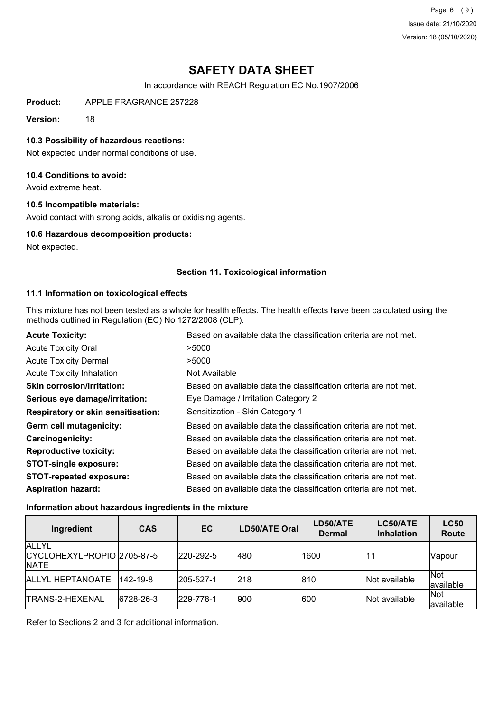Page 6 (9) Issue date: 21/10/2020 Version: 18 (05/10/2020)

# **SAFETY DATA SHEET**

In accordance with REACH Regulation EC No.1907/2006

**Product:** APPLE FRAGRANCE 257228

**Version:** 18

### **10.3 Possibility of hazardous reactions:**

Not expected under normal conditions of use.

### **10.4 Conditions to avoid:**

Avoid extreme heat.

### **10.5 Incompatible materials:**

Avoid contact with strong acids, alkalis or oxidising agents.

### **10.6 Hazardous decomposition products:**

Not expected.

### **Section 11. Toxicological information**

### **11.1 Information on toxicological effects**

This mixture has not been tested as a whole for health effects. The health effects have been calculated using the methods outlined in Regulation (EC) No 1272/2008 (CLP).

| <b>Acute Toxicity:</b>                    | Based on available data the classification criteria are not met. |
|-------------------------------------------|------------------------------------------------------------------|
| <b>Acute Toxicity Oral</b>                | >5000                                                            |
| <b>Acute Toxicity Dermal</b>              | >5000                                                            |
| <b>Acute Toxicity Inhalation</b>          | Not Available                                                    |
| <b>Skin corrosion/irritation:</b>         | Based on available data the classification criteria are not met. |
| Serious eye damage/irritation:            | Eye Damage / Irritation Category 2                               |
| <b>Respiratory or skin sensitisation:</b> | Sensitization - Skin Category 1                                  |
| Germ cell mutagenicity:                   | Based on available data the classification criteria are not met. |
| <b>Carcinogenicity:</b>                   | Based on available data the classification criteria are not met. |
| <b>Reproductive toxicity:</b>             | Based on available data the classification criteria are not met. |
| <b>STOT-single exposure:</b>              | Based on available data the classification criteria are not met. |
| <b>STOT-repeated exposure:</b>            | Based on available data the classification criteria are not met. |
| <b>Aspiration hazard:</b>                 | Based on available data the classification criteria are not met. |

### **Information about hazardous ingredients in the mixture**

| Ingredient                                                | <b>CAS</b>     | EC                | <b>LD50/ATE Oral</b> | LD50/ATE<br><b>Dermal</b> | LC50/ATE<br><b>Inhalation</b> | <b>LC50</b><br>Route     |
|-----------------------------------------------------------|----------------|-------------------|----------------------|---------------------------|-------------------------------|--------------------------|
| <b>ALLYL</b><br>CYCLOHEXYLPROPIO 2705-87-5<br><b>NATE</b> |                | 220-292-5         | 480                  | 1600                      |                               | Vapour                   |
| <b>ALLYL HEPTANOATE</b>                                   | $142 - 19 - 8$ | $ 205 - 527 - 1 $ | 218                  | 810                       | Not available                 | <b>Not</b><br>lavailable |
| ITRANS-2-HEXENAL                                          | 6728-26-3      | 229-778-1         | 900                  | 600                       | Not available                 | Not<br>lavailable        |

Refer to Sections 2 and 3 for additional information.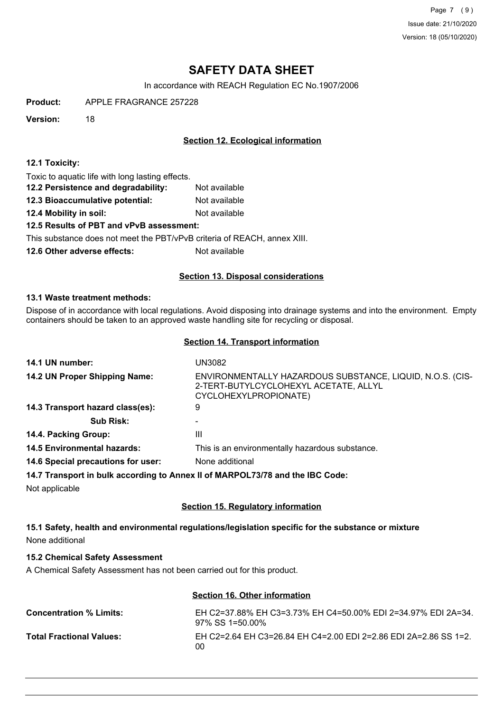Page 7 (9) Issue date: 21/10/2020 Version: 18 (05/10/2020)

# **SAFETY DATA SHEET**

In accordance with REACH Regulation EC No.1907/2006

**Product:** APPLE FRAGRANCE 257228

**Version:** 18

### **Section 12. Ecological information**

### **12.1 Toxicity:**

Toxic to aquatic life with long lasting effects.

- **12.2 Persistence and degradability:** Not available
- **12.3 Bioaccumulative potential:** Not available
- **12.4 Mobility in soil:** Not available

### **12.5 Results of PBT and vPvB assessment:**

This substance does not meet the PBT/vPvB criteria of REACH, annex XIII.

**12.6 Other adverse effects:** Not available

### **Section 13. Disposal considerations**

### **13.1 Waste treatment methods:**

Dispose of in accordance with local regulations. Avoid disposing into drainage systems and into the environment. Empty containers should be taken to an approved waste handling site for recycling or disposal.

### **Section 14. Transport information**

| 14.1 UN number:                                                               | UN3082                                                                                                                      |
|-------------------------------------------------------------------------------|-----------------------------------------------------------------------------------------------------------------------------|
| 14.2 UN Proper Shipping Name:                                                 | ENVIRONMENTALLY HAZARDOUS SUBSTANCE, LIQUID, N.O.S. (CIS-<br>2-TERT-BUTYLCYCLOHEXYL ACETATE, ALLYL<br>CYCLOHEXYLPROPIONATE) |
| 14.3 Transport hazard class(es):                                              | 9                                                                                                                           |
| <b>Sub Risk:</b>                                                              | -                                                                                                                           |
| 14.4. Packing Group:                                                          | Ш                                                                                                                           |
| <b>14.5 Environmental hazards:</b>                                            | This is an environmentally hazardous substance.                                                                             |
| 14.6 Special precautions for user:                                            | None additional                                                                                                             |
| 14.7 Transport in bulk according to Annex II of MARPOL73/78 and the IBC Code: |                                                                                                                             |
| Not applicable                                                                |                                                                                                                             |

### **Section 15. Regulatory information**

**15.1 Safety, health and environmental regulations/legislation specific for the substance or mixture** None additional

### **15.2 Chemical Safety Assessment**

A Chemical Safety Assessment has not been carried out for this product.

### **Section 16. Other information**

| <b>Concentration % Limits:</b>  | EH C2=37.88% EH C3=3.73% EH C4=50.00% EDI 2=34.97% EDI 2A=34.<br>97% SS 1=50.00% |
|---------------------------------|----------------------------------------------------------------------------------|
| <b>Total Fractional Values:</b> | EH C2=2.64 EH C3=26.84 EH C4=2.00 EDI 2=2.86 EDI 2A=2.86 SS 1=2.<br>00           |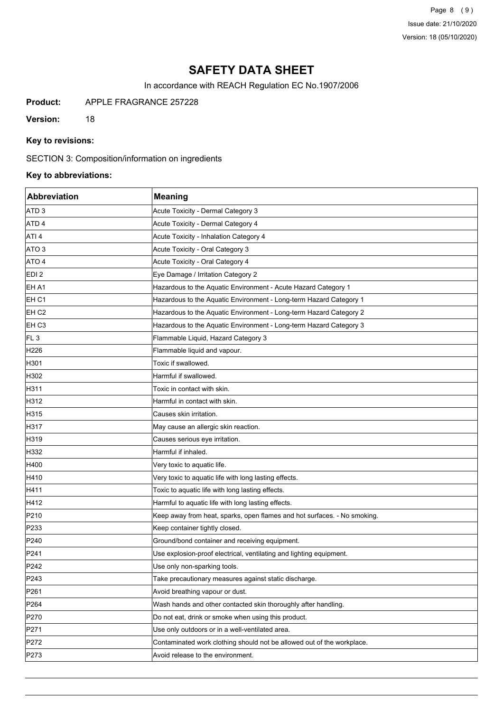Page 8 (9) Issue date: 21/10/2020 Version: 18 (05/10/2020)

# **SAFETY DATA SHEET**

In accordance with REACH Regulation EC No.1907/2006

**Product:** APPLE FRAGRANCE 257228

**Version:** 18

### **Key to revisions:**

SECTION 3: Composition/information on ingredients

## **Key to abbreviations:**

| Abbreviation     | Meaning                                                                  |
|------------------|--------------------------------------------------------------------------|
| ATD <sub>3</sub> | Acute Toxicity - Dermal Category 3                                       |
| ATD 4            | Acute Toxicity - Dermal Category 4                                       |
| ATI <sub>4</sub> | Acute Toxicity - Inhalation Category 4                                   |
| ATO 3            | Acute Toxicity - Oral Category 3                                         |
| ATO 4            | Acute Toxicity - Oral Category 4                                         |
| EDI <sub>2</sub> | Eye Damage / Irritation Category 2                                       |
| EH A1            | Hazardous to the Aquatic Environment - Acute Hazard Category 1           |
| EH <sub>C1</sub> | Hazardous to the Aquatic Environment - Long-term Hazard Category 1       |
| EH <sub>C2</sub> | Hazardous to the Aquatic Environment - Long-term Hazard Category 2       |
| EH <sub>C3</sub> | Hazardous to the Aquatic Environment - Long-term Hazard Category 3       |
| FL <sub>3</sub>  | Flammable Liquid, Hazard Category 3                                      |
| H226             | Flammable liquid and vapour.                                             |
| H301             | Toxic if swallowed.                                                      |
| H302             | Harmful if swallowed.                                                    |
| H311             | Toxic in contact with skin.                                              |
| H312             | Harmful in contact with skin.                                            |
| H315             | Causes skin irritation.                                                  |
| H317             | May cause an allergic skin reaction.                                     |
| H319             | Causes serious eye irritation.                                           |
| H332             | Harmful if inhaled.                                                      |
| H400             | Very toxic to aquatic life.                                              |
| H410             | Very toxic to aquatic life with long lasting effects.                    |
| H411             | Toxic to aquatic life with long lasting effects.                         |
| H412             | Harmful to aquatic life with long lasting effects.                       |
| P210             | Keep away from heat, sparks, open flames and hot surfaces. - No smoking. |
| P233             | Keep container tightly closed.                                           |
| P240             | Ground/bond container and receiving equipment.                           |
| P241             | Use explosion-proof electrical, ventilating and lighting equipment.      |
| P242             | Use only non-sparking tools.                                             |
| P243             | Take precautionary measures against static discharge.                    |
| P <sub>261</sub> | Avoid breathing vapour or dust.                                          |
| P264             | Wash hands and other contacted skin thoroughly after handling.           |
| P270             | Do not eat, drink or smoke when using this product.                      |
| P271             | Use only outdoors or in a well-ventilated area.                          |
| P272             | Contaminated work clothing should not be allowed out of the workplace.   |
| P273             | Avoid release to the environment.                                        |